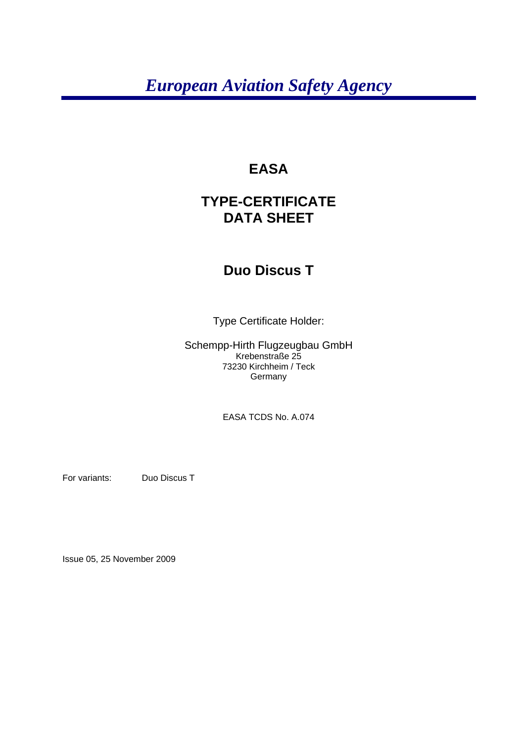# *European Aviation Safety Agency*

## **EASA**

# **TYPE-CERTIFICATE DATA SHEET**

## **Duo Discus T**

Type Certificate Holder:

Schempp-Hirth Flugzeugbau GmbH Krebenstraße 25 73230 Kirchheim / Teck **Germany** 

EASA TCDS No. A.074

For variants: Duo Discus T

Issue 05, 25 November 2009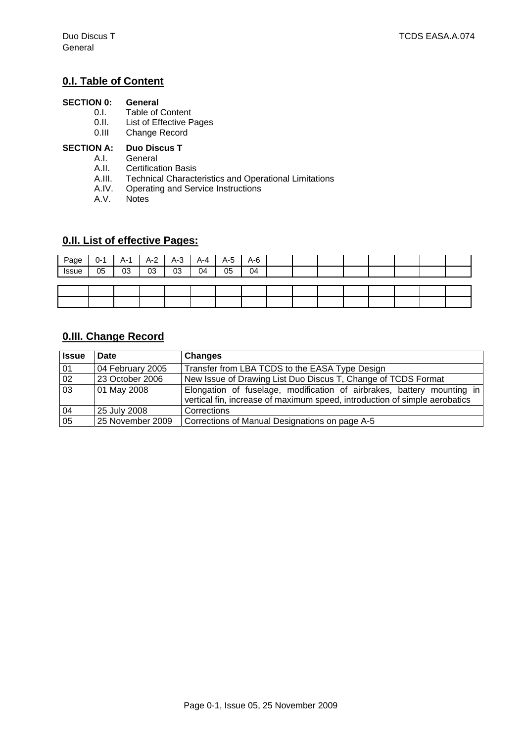### **0.I. Table of Content**

# **SECTION 0: General** 0.1. **Table of**

- 0.I. Table of Content<br>0.II. List of Effective P
- List of Effective Pages
- 0.III Change Record

#### **SECTION A: Duo Discus T**

- A.I. General
- A.II. Certification Basis<br>A.III. Technical Characte
- Technical Characteristics and Operational Limitations
- A.IV. Operating and Service Instructions<br>A.V. Notes
- **Notes**

#### **0.II. List of effective Pages:**

| Page  | $0 - 1$ | A-1 | $A-2$ | $A-3$ | $A - 4$ | $A-5$ | $A-6$ |  |  |  |  |
|-------|---------|-----|-------|-------|---------|-------|-------|--|--|--|--|
| Issue | 05      | 03  | 03    | 03    | 04      | 05    | 04    |  |  |  |  |
|       |         |     |       |       |         |       |       |  |  |  |  |
|       |         |     |       |       |         |       |       |  |  |  |  |
|       |         |     |       |       |         |       |       |  |  |  |  |

### **0.III. Change Record**

| <b>Issue</b> | Date             | <b>Changes</b>                                                                                                                                       |  |  |  |
|--------------|------------------|------------------------------------------------------------------------------------------------------------------------------------------------------|--|--|--|
| 01           | 04 February 2005 | Transfer from LBA TCDS to the EASA Type Design                                                                                                       |  |  |  |
| 02           | 23 October 2006  | New Issue of Drawing List Duo Discus T, Change of TCDS Format                                                                                        |  |  |  |
| 03           | 01 May 2008      | Elongation of fuselage, modification of airbrakes, battery mounting in<br>vertical fin, increase of maximum speed, introduction of simple aerobatics |  |  |  |
| 04           | 25 July 2008     | Corrections                                                                                                                                          |  |  |  |
| 05           | 25 November 2009 | Corrections of Manual Designations on page A-5                                                                                                       |  |  |  |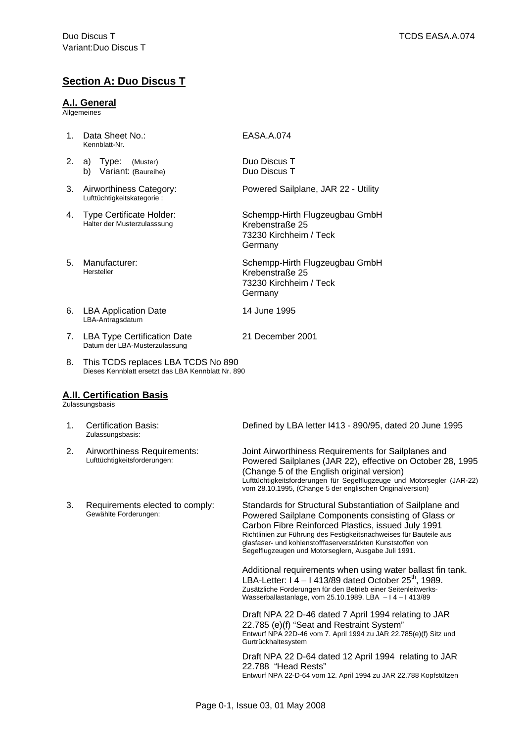### **Section A: Duo Discus T**

#### **A.I. General**

Allgemeines

- 1. Data Sheet No.: Kennblatt-Nr. EASA.A.074
- 2. a) Type: (Muster) b) Variant: (Baureihe)
- 3. Airworthiness Category: Lufttüchtigkeitskategorie :
- 4. Type Certificate Holder: Halter der Musterzulasssung
- 5. Manufacturer: Hersteller
- 6. LBA Application Date LBA-Antragsdatum
- 7. LBA Type Certification Date Datum der LBA-Musterzulassung
- 8. This TCDS replaces LBA TCDS No 890 Dieses Kennblatt ersetzt das LBA Kennblatt Nr. 890

#### **A.II. Certification Basis**

Zulassungsbasis

- 1. Certification Basis: Zulassungsbasis:
- 2. Airworthiness Requirements: Lufttüchtigkeitsforderungen:
- 3. Requirements elected to comply: Gewählte Forderungen:

Duo Discus T Duo Discus T

Powered Sailplane, JAR 22 - Utility

Schempp-Hirth Flugzeugbau GmbH Krebenstraße 25 73230 Kirchheim / Teck Germany

Schempp-Hirth Flugzeugbau GmbH Krebenstraße 25 73230 Kirchheim / Teck **Germany** 

- 14 June 1995
- 21 December 2001

Defined by LBA letter I413 - 890/95, dated 20 June 1995

Joint Airworthiness Requirements for Sailplanes and Powered Sailplanes (JAR 22), effective on October 28, 1995 (Change 5 of the English original version) Lufttüchtigkeitsforderungen für Segelflugzeuge und Motorsegler (JAR-22) vom 28.10.1995, (Change 5 der englischen Originalversion)

Standards for Structural Substantiation of Sailplane and Powered Sailplane Components consisting of Glass or Carbon Fibre Reinforced Plastics, issued July 1991 Richtlinien zur Führung des Festigkeitsnachweises für Bauteile aus glasfaser- und kohlenstofffaserverstärkten Kunststoffen von Segelflugzeugen und Motorseglern, Ausgabe Juli 1991.

Additional requirements when using water ballast fin tank. LBA-Letter:  $14 - 1413/89$  dated October 25<sup>th</sup>, 1989. Zusätzliche Forderungen für den Betrieb einer Seitenleitwerks-Wasserballastanlage, vom 25.10.1989. LBA – I 4 – I 413/89

Draft NPA 22 D-46 dated 7 April 1994 relating to JAR 22.785 (e)(f) "Seat and Restraint System" Entwurf NPA 22D-46 vom 7. April 1994 zu JAR 22.785(e)(f) Sitz und Gurtrückhaltesystem

Draft NPA 22 D-64 dated 12 April 1994 relating to JAR 22.788 "Head Rests" Entwurf NPA 22-D-64 vom 12. April 1994 zu JAR 22.788 Kopfstützen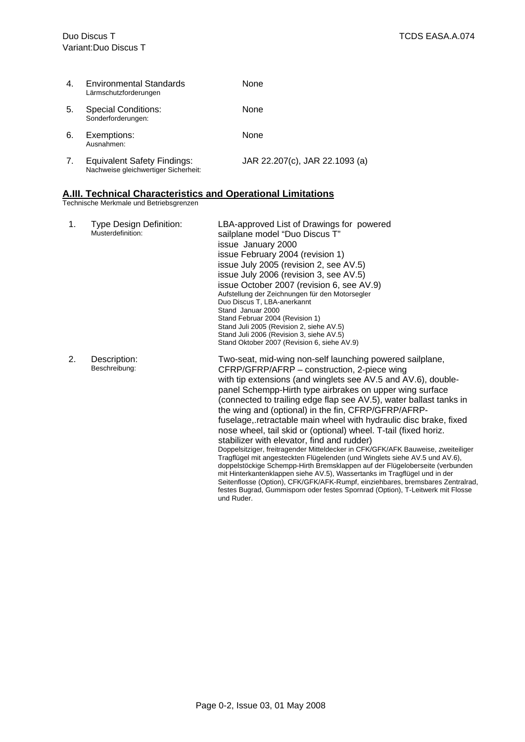| 4. | <b>Environmental Standards</b><br>Lärmschutzforderungen                    | None                           |
|----|----------------------------------------------------------------------------|--------------------------------|
| 5. | <b>Special Conditions:</b><br>Sonderforderungen:                           | None                           |
| 6. | Exemptions:<br>Ausnahmen:                                                  | None                           |
| 7. | <b>Equivalent Safety Findings:</b><br>Nachweise gleichwertiger Sicherheit: | JAR 22.207(c), JAR 22.1093 (a) |

#### **A.III. Technical Characteristics and Operational Limitations**

Technische Merkmale und Betriebsgrenzen

| 1. | Type Design Definition:<br>Musterdefinition: | LBA-approved List of Drawings for powered<br>sailplane model "Duo Discus T"<br>issue January 2000<br>issue February 2004 (revision 1)<br>issue July 2005 (revision 2, see AV.5)<br>issue July 2006 (revision 3, see AV.5)<br>issue October 2007 (revision 6, see AV.9)<br>Aufstellung der Zeichnungen für den Motorsegler<br>Duo Discus T, LBA-anerkannt<br>Stand Januar 2000<br>Stand Februar 2004 (Revision 1)<br>Stand Juli 2005 (Revision 2, siehe AV.5)<br>Stand Juli 2006 (Revision 3, siehe AV.5)<br>Stand Oktober 2007 (Revision 6, siehe AV.9)                                                                                                                                                                                                                                                                                                                                                                                                                                                                                                                   |
|----|----------------------------------------------|---------------------------------------------------------------------------------------------------------------------------------------------------------------------------------------------------------------------------------------------------------------------------------------------------------------------------------------------------------------------------------------------------------------------------------------------------------------------------------------------------------------------------------------------------------------------------------------------------------------------------------------------------------------------------------------------------------------------------------------------------------------------------------------------------------------------------------------------------------------------------------------------------------------------------------------------------------------------------------------------------------------------------------------------------------------------------|
| 2. | Description:<br>Beschreibung:                | Two-seat, mid-wing non-self launching powered sailplane,<br>CFRP/GFRP/AFRP - construction, 2-piece wing<br>with tip extensions (and winglets see AV.5 and AV.6), double-<br>panel Schempp-Hirth type airbrakes on upper wing surface<br>(connected to trailing edge flap see AV.5), water ballast tanks in<br>the wing and (optional) in the fin, CFRP/GFRP/AFRP-<br>fuselage, retractable main wheel with hydraulic disc brake, fixed<br>nose wheel, tail skid or (optional) wheel. T-tail (fixed horiz.<br>stabilizer with elevator, find and rudder)<br>Doppelsitziger, freitragender Mitteldecker in CFK/GFK/AFK Bauweise, zweiteiliger<br>Tragflügel mit angesteckten Flügelenden (und Winglets siehe AV.5 und AV.6),<br>doppelstöckige Schempp-Hirth Bremsklappen auf der Flügeloberseite (verbunden<br>mit Hinterkantenklappen siehe AV.5), Wassertanks im Tragflügel und in der<br>Seitenflosse (Option), CFK/GFK/AFK-Rumpf, einziehbares, bremsbares Zentralrad,<br>festes Bugrad, Gummisporn oder festes Spornrad (Option), T-Leitwerk mit Flosse<br>und Ruder. |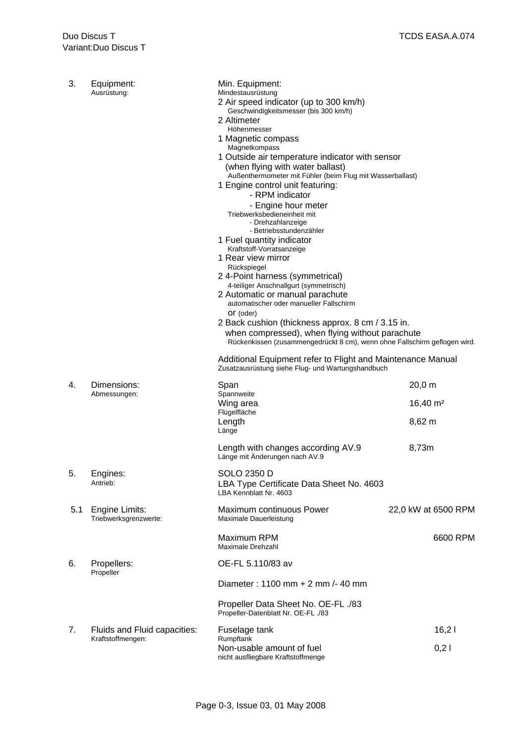| 3.  | Equipment:<br>Ausrüstung:               | Min. Equipment:<br>Mindestausrüstung<br>2 Air speed indicator (up to 300 km/h)<br>Geschwindigkeitsmesser (bis 300 km/h)<br>2 Altimeter<br>Höhenmesser<br>1 Magnetic compass<br>Magnetkompass<br>1 Outside air temperature indicator with sensor<br>(when flying with water ballast)<br>Außenthermometer mit Fühler (beim Flug mit Wasserballast)<br>1 Engine control unit featuring:<br>- RPM indicator<br>- Engine hour meter<br>Triebwerksbedieneinheit mit<br>- Drehzahlanzeige<br>- Betriebsstundenzähler<br>1 Fuel quantity indicator<br>Kraftstoff-Vorratsanzeige<br>1 Rear view mirror<br>Rückspiegel<br>24-Point harness (symmetrical)<br>4-teiliger Anschnallgurt (symmetrisch)<br>2 Automatic or manual parachute<br>automatischer oder manueller Fallschirm<br>Or (oder)<br>2 Back cushion (thickness approx. 8 cm / 3.15 in.<br>when compressed), when flying without parachute<br>Rückenkissen (zusammengedrückt 8 cm), wenn ohne Fallschirm geflogen wird. |                     |  |  |  |
|-----|-----------------------------------------|--------------------------------------------------------------------------------------------------------------------------------------------------------------------------------------------------------------------------------------------------------------------------------------------------------------------------------------------------------------------------------------------------------------------------------------------------------------------------------------------------------------------------------------------------------------------------------------------------------------------------------------------------------------------------------------------------------------------------------------------------------------------------------------------------------------------------------------------------------------------------------------------------------------------------------------------------------------------------|---------------------|--|--|--|
|     |                                         | Additional Equipment refer to Flight and Maintenance Manual<br>Zusatzausrüstung siehe Flug- und Wartungshandbuch                                                                                                                                                                                                                                                                                                                                                                                                                                                                                                                                                                                                                                                                                                                                                                                                                                                         |                     |  |  |  |
| 4.  | Dimensions:<br>Abmessungen:             | Span<br>Spannweite                                                                                                                                                                                                                                                                                                                                                                                                                                                                                                                                                                                                                                                                                                                                                                                                                                                                                                                                                       | $20,0 \, \text{m}$  |  |  |  |
|     |                                         | Wing area<br>Flügelfläche                                                                                                                                                                                                                                                                                                                                                                                                                                                                                                                                                                                                                                                                                                                                                                                                                                                                                                                                                | $16,40 \text{ m}^2$ |  |  |  |
|     |                                         | Length<br>Länge                                                                                                                                                                                                                                                                                                                                                                                                                                                                                                                                                                                                                                                                                                                                                                                                                                                                                                                                                          | $8,62 \; m$         |  |  |  |
|     |                                         | Length with changes according AV.9<br>Länge mit Änderungen nach AV.9                                                                                                                                                                                                                                                                                                                                                                                                                                                                                                                                                                                                                                                                                                                                                                                                                                                                                                     | 8,73m               |  |  |  |
| 5.  | Engines:<br>Antrieb:                    | SOLO 2350 D<br>LBA Type Certificate Data Sheet No. 4603<br>LBA Kennblatt Nr. 4603                                                                                                                                                                                                                                                                                                                                                                                                                                                                                                                                                                                                                                                                                                                                                                                                                                                                                        |                     |  |  |  |
| 5.1 | Engine Limits:<br>Triebwerksgrenzwerte: | Maximum continuous Power<br>Maximale Dauerleistung                                                                                                                                                                                                                                                                                                                                                                                                                                                                                                                                                                                                                                                                                                                                                                                                                                                                                                                       | 22,0 kW at 6500 RPM |  |  |  |
|     |                                         | Maximum RPM<br>Maximale Drehzahl                                                                                                                                                                                                                                                                                                                                                                                                                                                                                                                                                                                                                                                                                                                                                                                                                                                                                                                                         | 6600 RPM            |  |  |  |
| 6.  | Propellers:<br>Propeller                | OE-FL 5.110/83 av                                                                                                                                                                                                                                                                                                                                                                                                                                                                                                                                                                                                                                                                                                                                                                                                                                                                                                                                                        |                     |  |  |  |
|     |                                         | Diameter: 1100 mm + 2 mm /- 40 mm                                                                                                                                                                                                                                                                                                                                                                                                                                                                                                                                                                                                                                                                                                                                                                                                                                                                                                                                        |                     |  |  |  |
|     |                                         | Propeller Data Sheet No. OE-FL ./83<br>Propeller-Datenblatt Nr. OE-FL ./83                                                                                                                                                                                                                                                                                                                                                                                                                                                                                                                                                                                                                                                                                                                                                                                                                                                                                               |                     |  |  |  |
| 7.  | Fluids and Fluid capacities:            | Fuselage tank                                                                                                                                                                                                                                                                                                                                                                                                                                                                                                                                                                                                                                                                                                                                                                                                                                                                                                                                                            | 16,21               |  |  |  |
|     | Kraftstoffmengen:                       | Rumpftank<br>Non-usable amount of fuel<br>nicht ausfliegbare Kraftstoffmenge                                                                                                                                                                                                                                                                                                                                                                                                                                                                                                                                                                                                                                                                                                                                                                                                                                                                                             | 0,21                |  |  |  |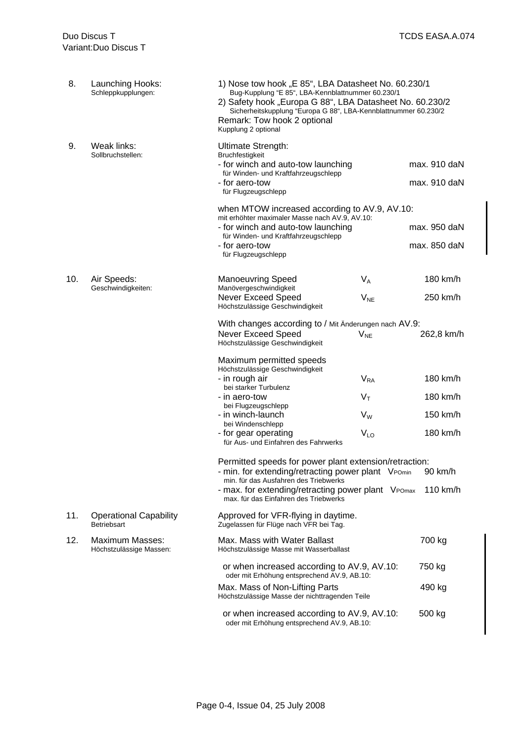| 8.                                     | Launching Hooks:<br>Schleppkupplungen:       | 1) Nose tow hook "E 85", LBA Datasheet No. 60.230/1<br>Bug-Kupplung "E 85", LBA-Kennblattnummer 60.230/1<br>2) Safety hook "Europa G 88", LBA Datasheet No. 60.230/2<br>Sicherheitskupplung "Europa G 88", LBA-Kennblattnummer 60.230/2<br>Remark: Tow hook 2 optional<br>Kupplung 2 optional |                 |              |  |  |  |
|----------------------------------------|----------------------------------------------|-----------------------------------------------------------------------------------------------------------------------------------------------------------------------------------------------------------------------------------------------------------------------------------------------|-----------------|--------------|--|--|--|
| 9.<br>Weak links:<br>Sollbruchstellen: |                                              | <b>Ultimate Strength:</b><br><b>Bruchfestigkeit</b><br>- for winch and auto-tow launching<br>für Winden- und Kraftfahrzeugschlepp                                                                                                                                                             | max. 910 daN    |              |  |  |  |
|                                        |                                              | - for aero-tow<br>für Flugzeugschlepp                                                                                                                                                                                                                                                         |                 | max. 910 daN |  |  |  |
|                                        |                                              | when MTOW increased according to AV.9, AV.10:<br>mit erhöhter maximaler Masse nach AV.9, AV.10:                                                                                                                                                                                               |                 |              |  |  |  |
|                                        |                                              | - for winch and auto-tow launching<br>für Winden- und Kraftfahrzeugschlepp                                                                                                                                                                                                                    |                 | max. 950 daN |  |  |  |
|                                        |                                              | - for aero-tow<br>für Flugzeugschlepp                                                                                                                                                                                                                                                         |                 | max. 850 daN |  |  |  |
| 10.                                    | Air Speeds:                                  | <b>Manoeuvring Speed</b>                                                                                                                                                                                                                                                                      | $V_A$           | 180 km/h     |  |  |  |
|                                        | Geschwindigkeiten:                           | Manövergeschwindigkeit<br><b>Never Exceed Speed</b><br>Höchstzulässige Geschwindigkeit                                                                                                                                                                                                        | $V_{NE}$        | 250 km/h     |  |  |  |
|                                        |                                              | With changes according to / Mit Änderungen nach AV.9:<br><b>Never Exceed Speed</b><br>Höchstzulässige Geschwindigkeit                                                                                                                                                                         | $V_{NE}$        | 262,8 km/h   |  |  |  |
|                                        |                                              | Maximum permitted speeds<br>Höchstzulässige Geschwindigkeit                                                                                                                                                                                                                                   |                 |              |  |  |  |
|                                        |                                              | - in rough air<br>bei starker Turbulenz                                                                                                                                                                                                                                                       | $V_{RA}$        | 180 km/h     |  |  |  |
|                                        |                                              | - in aero-tow                                                                                                                                                                                                                                                                                 | $V_T$           | 180 km/h     |  |  |  |
|                                        |                                              | bei Flugzeugschlepp<br>- in winch-launch                                                                                                                                                                                                                                                      | $V_W$           | 150 km/h     |  |  |  |
|                                        |                                              | bei Windenschlepp<br>- for gear operating<br>für Aus- und Einfahren des Fahrwerks                                                                                                                                                                                                             | V <sub>LO</sub> | 180 km/h     |  |  |  |
|                                        |                                              | Permitted speeds for power plant extension/retraction:<br>- min. for extending/retracting power plant VPomin 90 km/h                                                                                                                                                                          |                 |              |  |  |  |
|                                        |                                              | min. für das Ausfahren des Triebwerks<br>- max. for extending/retracting power plant VPOmax<br>max. für das Einfahren des Triebwerks                                                                                                                                                          |                 | 110 km/h     |  |  |  |
| 11.                                    | <b>Operational Capability</b><br>Betriebsart | Approved for VFR-flying in daytime.<br>Zugelassen für Flüge nach VFR bei Tag.                                                                                                                                                                                                                 |                 |              |  |  |  |
| 12.                                    | Maximum Masses:<br>Höchstzulässige Massen:   | Max. Mass with Water Ballast<br>Höchstzulässige Masse mit Wasserballast                                                                                                                                                                                                                       |                 | 700 kg       |  |  |  |
|                                        |                                              | or when increased according to AV.9, AV.10:<br>oder mit Erhöhung entsprechend AV.9, AB.10:                                                                                                                                                                                                    |                 | 750 kg       |  |  |  |
|                                        |                                              | Max. Mass of Non-Lifting Parts<br>Höchstzulässige Masse der nichttragenden Teile                                                                                                                                                                                                              |                 | 490 kg       |  |  |  |
|                                        |                                              | or when increased according to AV.9, AV.10:<br>oder mit Erhöhung entsprechend AV.9, AB.10:                                                                                                                                                                                                    |                 | 500 kg       |  |  |  |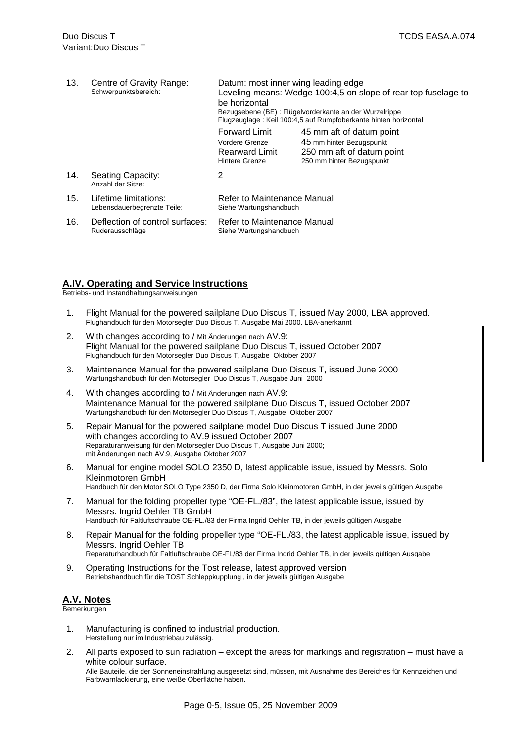| 13. | Centre of Gravity Range:<br>Schwerpunktsbereich:     | Datum: most inner wing leading edge<br>Leveling means: Wedge 100:4,5 on slope of rear top fuselage to<br>be horizontal<br>Bezugsebene (BE) : Flügelvorderkante an der Wurzelrippe<br>Flugzeuglage: Keil 100:4,5 auf Rumpfoberkante hinten horizontal |                                                                                                                |  |  |  |
|-----|------------------------------------------------------|------------------------------------------------------------------------------------------------------------------------------------------------------------------------------------------------------------------------------------------------------|----------------------------------------------------------------------------------------------------------------|--|--|--|
|     |                                                      | <b>Forward Limit</b><br>Vordere Grenze<br><b>Rearward Limit</b><br>Hintere Grenze                                                                                                                                                                    | 45 mm aft of datum point<br>45 mm hinter Bezugspunkt<br>250 mm aft of datum point<br>250 mm hinter Bezugspunkt |  |  |  |
| 14. | Seating Capacity:<br>Anzahl der Sitze:               | 2                                                                                                                                                                                                                                                    |                                                                                                                |  |  |  |
| 15. | Lifetime limitations:<br>Lebensdauerbegrenzte Teile: | Refer to Maintenance Manual<br>Siehe Wartungshandbuch                                                                                                                                                                                                |                                                                                                                |  |  |  |
| 16. | Deflection of control surfaces:<br>Ruderausschläge   | Refer to Maintenance Manual<br>Siehe Wartungshandbuch                                                                                                                                                                                                |                                                                                                                |  |  |  |

#### **A.IV. Operating and Service Instructions**

Betriebs- und Instandhaltungsanweisungen

- 1. Flight Manual for the powered sailplane Duo Discus T, issued May 2000, LBA approved. Flughandbuch für den Motorsegler Duo Discus T, Ausgabe Mai 2000, LBA-anerkannt
- 2. With changes according to / Mit Änderungen nach AV.9: Flight Manual for the powered sailplane Duo Discus T, issued October 2007 Flughandbuch für den Motorsegler Duo Discus T, Ausgabe Oktober 2007
- 3. Maintenance Manual for the powered sailplane Duo Discus T, issued June 2000 Wartungshandbuch für den Motorsegler Duo Discus T, Ausgabe Juni 2000
- 4. With changes according to / Mit Änderungen nach AV.9: Maintenance Manual for the powered sailplane Duo Discus T, issued October 2007 Wartungshandbuch für den Motorsegler Duo Discus T, Ausgabe Oktober 2007
- 5. Repair Manual for the powered sailplane model Duo Discus T issued June 2000 with changes according to AV.9 issued October 2007 Reparaturanweisung für den Motorsegler Duo Discus T, Ausgabe Juni 2000; mit Änderungen nach AV.9, Ausgabe Oktober 2007
- 6. Manual for engine model SOLO 2350 D, latest applicable issue, issued by Messrs. Solo Kleinmotoren GmbH Handbuch für den Motor SOLO Type 2350 D, der Firma Solo Kleinmotoren GmbH, in der jeweils gültigen Ausgabe
- 7. Manual for the folding propeller type "OE-FL./83", the latest applicable issue, issued by Messrs. Ingrid Oehler TB GmbH Handbuch für Faltluftschraube OE-FL./83 der Firma Ingrid Oehler TB, in der jeweils gültigen Ausgabe
- 8. Repair Manual for the folding propeller type "OE-FL./83, the latest applicable issue, issued by Messrs. Ingrid Oehler TB Reparaturhandbuch für Faltluftschraube OE-FL/83 der Firma Ingrid Oehler TB, in der jeweils gültigen Ausgabe
- 9. Operating Instructions for the Tost release, latest approved version Betriebshandbuch für die TOST Schleppkupplung , in der jeweils gültigen Ausgabe

#### **A.V. Notes**

Bemerkungen

- 1. Manufacturing is confined to industrial production. Herstellung nur im Industriebau zulässig.
- 2. All parts exposed to sun radiation except the areas for markings and registration must have a white colour surface.

Alle Bauteile, die der Sonneneinstrahlung ausgesetzt sind, müssen, mit Ausnahme des Bereiches für Kennzeichen und Farbwarnlackierung, eine weiße Oberfläche haben.